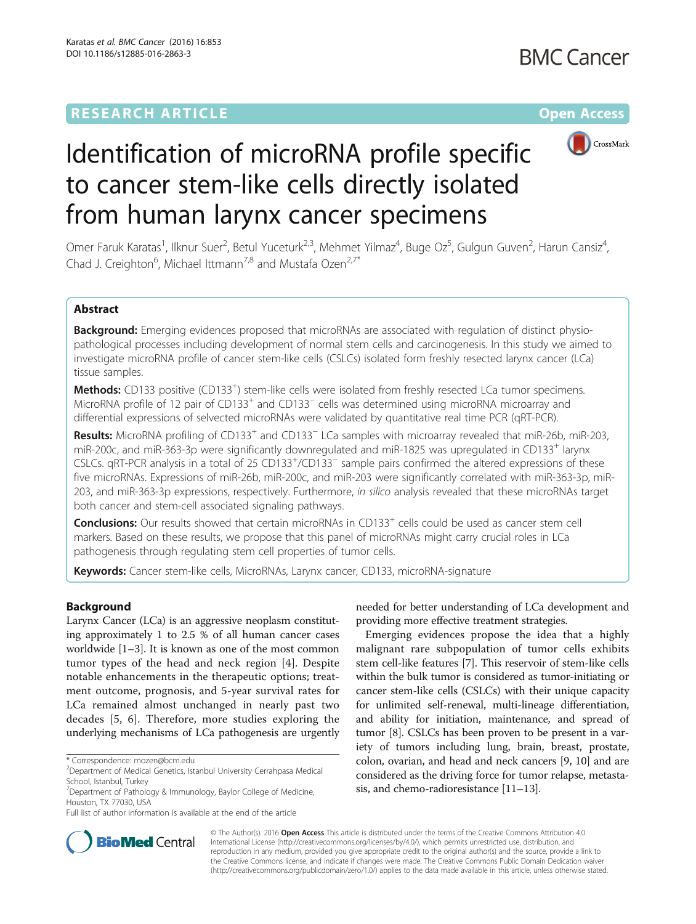# **RESEARCH ARTICLE Example 2014 12:30 The Contract of Contract ACCESS**



# Identification of microRNA profile specific to cancer stem-like cells directly isolated from human larynx cancer specimens

Omer Faruk Karatas<sup>1</sup>, Ilknur Suer<sup>2</sup>, Betul Yuceturk<sup>2,3</sup>, Mehmet Yilmaz<sup>4</sup>, Buge Oz<sup>5</sup>, Gulgun Guven<sup>2</sup>, Harun Cansiz<sup>4</sup> , Chad J. Creighton<sup>6</sup>, Michael Ittmann<sup>7,8</sup> and Mustafa Ozen<sup>2,7\*</sup>

# Abstract

Background: Emerging evidences proposed that microRNAs are associated with regulation of distinct physiopathological processes including development of normal stem cells and carcinogenesis. In this study we aimed to investigate microRNA profile of cancer stem-like cells (CSLCs) isolated form freshly resected larynx cancer (LCa) tissue samples.

Methods: CD133 positive (CD133<sup>+</sup>) stem-like cells were isolated from freshly resected LCa tumor specimens. MicroRNA profile of 12 pair of CD133<sup>+</sup> and CD133<sup>-</sup> cells was determined using microRNA microarray and differential expressions of selvected microRNAs were validated by quantitative real time PCR (qRT-PCR).

Results: MicroRNA profiling of CD133<sup>+</sup> and CD133<sup>-</sup> LCa samples with microarray revealed that miR-26b, miR-203, miR-200c, and miR-363-3p were significantly downregulated and miR-1825 was upregulated in CD133<sup>+</sup> larynx CSLCs. qRT-PCR analysis in a total of 25 CD133<sup>+</sup>/CD133<sup>-</sup> sample pairs confirmed the altered expressions of these five microRNAs. Expressions of miR-26b, miR-200c, and miR-203 were significantly correlated with miR-363-3p, miR-203, and miR-363-3p expressions, respectively. Furthermore, in silico analysis revealed that these microRNAs target both cancer and stem-cell associated signaling pathways.

**Conclusions:** Our results showed that certain microRNAs in CD133<sup>+</sup> cells could be used as cancer stem cell markers. Based on these results, we propose that this panel of microRNAs might carry crucial roles in LCa pathogenesis through regulating stem cell properties of tumor cells.

Keywords: Cancer stem-like cells, MicroRNAs, Larynx cancer, CD133, microRNA-signature

# Background

Larynx Cancer (LCa) is an aggressive neoplasm constituting approximately 1 to 2.5 % of all human cancer cases worldwide [\[1](#page-8-0)–[3\]](#page-8-0). It is known as one of the most common tumor types of the head and neck region [\[4](#page-8-0)]. Despite notable enhancements in the therapeutic options; treatment outcome, prognosis, and 5-year survival rates for LCa remained almost unchanged in nearly past two decades [\[5](#page-8-0), [6](#page-8-0)]. Therefore, more studies exploring the underlying mechanisms of LCa pathogenesis are urgently needed for better understanding of LCa development and providing more effective treatment strategies.

Emerging evidences propose the idea that a highly malignant rare subpopulation of tumor cells exhibits stem cell-like features [\[7](#page-8-0)]. This reservoir of stem-like cells within the bulk tumor is considered as tumor-initiating or cancer stem-like cells (CSLCs) with their unique capacity for unlimited self-renewal, multi-lineage differentiation, and ability for initiation, maintenance, and spread of tumor [[8\]](#page-8-0). CSLCs has been proven to be present in a variety of tumors including lung, brain, breast, prostate, colon, ovarian, and head and neck cancers [[9](#page-8-0), [10](#page-8-0)] and are considered as the driving force for tumor relapse, metastasis, and chemo-radioresistance [[11](#page-8-0)–[13\]](#page-8-0).



© The Author(s). 2016 Open Access This article is distributed under the terms of the Creative Commons Attribution 4.0 International License [\(http://creativecommons.org/licenses/by/4.0/](http://creativecommons.org/licenses/by/4.0/)), which permits unrestricted use, distribution, and reproduction in any medium, provided you give appropriate credit to the original author(s) and the source, provide a link to the Creative Commons license, and indicate if changes were made. The Creative Commons Public Domain Dedication waiver [\(http://creativecommons.org/publicdomain/zero/1.0/](http://creativecommons.org/publicdomain/zero/1.0/)) applies to the data made available in this article, unless otherwise stated.

<sup>\*</sup> Correspondence: [mozen@bcm.edu](mailto:mozen@bcm.edu) <sup>2</sup>

<sup>&</sup>lt;sup>2</sup>Department of Medical Genetics, Istanbul University Cerrahpasa Medical School, Istanbul, Turkey

<sup>7</sup> Department of Pathology & Immunology, Baylor College of Medicine, Houston, TX 77030, USA

Full list of author information is available at the end of the article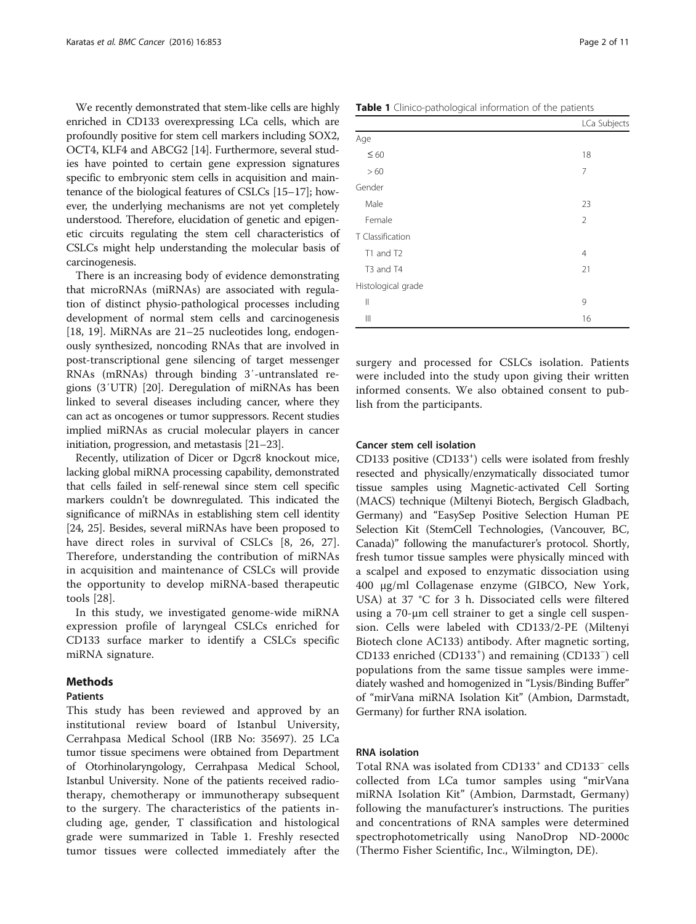<span id="page-1-0"></span>We recently demonstrated that stem-like cells are highly enriched in CD133 overexpressing LCa cells, which are profoundly positive for stem cell markers including SOX2, OCT4, KLF4 and ABCG2 [\[14](#page-8-0)]. Furthermore, several studies have pointed to certain gene expression signatures specific to embryonic stem cells in acquisition and maintenance of the biological features of CSLCs [[15](#page-8-0)–[17\]](#page-8-0); however, the underlying mechanisms are not yet completely understood. Therefore, elucidation of genetic and epigenetic circuits regulating the stem cell characteristics of CSLCs might help understanding the molecular basis of carcinogenesis.

There is an increasing body of evidence demonstrating that microRNAs (miRNAs) are associated with regulation of distinct physio-pathological processes including development of normal stem cells and carcinogenesis [[18, 19](#page-8-0)]. MiRNAs are 21–25 nucleotides long, endogenously synthesized, noncoding RNAs that are involved in post-transcriptional gene silencing of target messenger RNAs (mRNAs) through binding 3′-untranslated regions (3′UTR) [[20\]](#page-8-0). Deregulation of miRNAs has been linked to several diseases including cancer, where they can act as oncogenes or tumor suppressors. Recent studies implied miRNAs as crucial molecular players in cancer initiation, progression, and metastasis [[21](#page-8-0)–[23\]](#page-8-0).

Recently, utilization of Dicer or Dgcr8 knockout mice, lacking global miRNA processing capability, demonstrated that cells failed in self-renewal since stem cell specific markers couldn't be downregulated. This indicated the significance of miRNAs in establishing stem cell identity [[24](#page-8-0), [25\]](#page-8-0). Besides, several miRNAs have been proposed to have direct roles in survival of CSLCs [\[8](#page-8-0), [26, 27](#page-8-0)]. Therefore, understanding the contribution of miRNAs in acquisition and maintenance of CSLCs will provide the opportunity to develop miRNA-based therapeutic tools [[28](#page-8-0)].

In this study, we investigated genome-wide miRNA expression profile of laryngeal CSLCs enriched for CD133 surface marker to identify a CSLCs specific miRNA signature.

## Methods

#### Patients

This study has been reviewed and approved by an institutional review board of Istanbul University, Cerrahpasa Medical School (IRB No: 35697). 25 LCa tumor tissue specimens were obtained from Department of Otorhinolaryngology, Cerrahpasa Medical School, Istanbul University. None of the patients received radiotherapy, chemotherapy or immunotherapy subsequent to the surgery. The characteristics of the patients including age, gender, T classification and histological grade were summarized in Table 1. Freshly resected tumor tissues were collected immediately after the

| Table 1 Clinico-pathological information of the patients |                |  |  |  |
|----------------------------------------------------------|----------------|--|--|--|
|                                                          | LCa Subjects   |  |  |  |
| Age                                                      |                |  |  |  |
| $\leq 60$                                                | 18             |  |  |  |
| >60                                                      | 7              |  |  |  |
| Gender                                                   |                |  |  |  |
| Male                                                     | 23             |  |  |  |
| Female                                                   | $\overline{2}$ |  |  |  |
| T Classification                                         |                |  |  |  |
| T1 and T2                                                | 4              |  |  |  |
| T <sub>3</sub> and T <sub>4</sub>                        | 21             |  |  |  |
| Histological grade                                       |                |  |  |  |
| $\mathbb{I}$                                             | 9              |  |  |  |
| $\begin{array}{c}    \end{array}$                        | 16             |  |  |  |

surgery and processed for CSLCs isolation. Patients were included into the study upon giving their written informed consents. We also obtained consent to publish from the participants.

#### Cancer stem cell isolation

CD133 positive (CD133<sup>+</sup>) cells were isolated from freshly resected and physically/enzymatically dissociated tumor tissue samples using Magnetic-activated Cell Sorting (MACS) technique (Miltenyi Biotech, Bergisch Gladbach, Germany) and "EasySep Positive Selection Human PE Selection Kit (StemCell Technologies, (Vancouver, BC, Canada)" following the manufacturer's protocol. Shortly, fresh tumor tissue samples were physically minced with a scalpel and exposed to enzymatic dissociation using 400 μg/ml Collagenase enzyme (GIBCO, New York, USA) at 37 °C for 3 h. Dissociated cells were filtered using a 70-μm cell strainer to get a single cell suspension. Cells were labeled with CD133/2-PE (Miltenyi Biotech clone AC133) antibody. After magnetic sorting, CD133 enriched (CD133<sup>+</sup>) and remaining (CD133<sup>-</sup>) cell populations from the same tissue samples were immediately washed and homogenized in "Lysis/Binding Buffer" of "mirVana miRNA Isolation Kit" (Ambion, Darmstadt, Germany) for further RNA isolation.

# RNA isolation

Total RNA was isolated from CD133<sup>+</sup> and CD133<sup>-</sup> cells collected from LCa tumor samples using "mirVana miRNA Isolation Kit" (Ambion, Darmstadt, Germany) following the manufacturer's instructions. The purities and concentrations of RNA samples were determined spectrophotometrically using NanoDrop ND-2000c (Thermo Fisher Scientific, Inc., Wilmington, DE).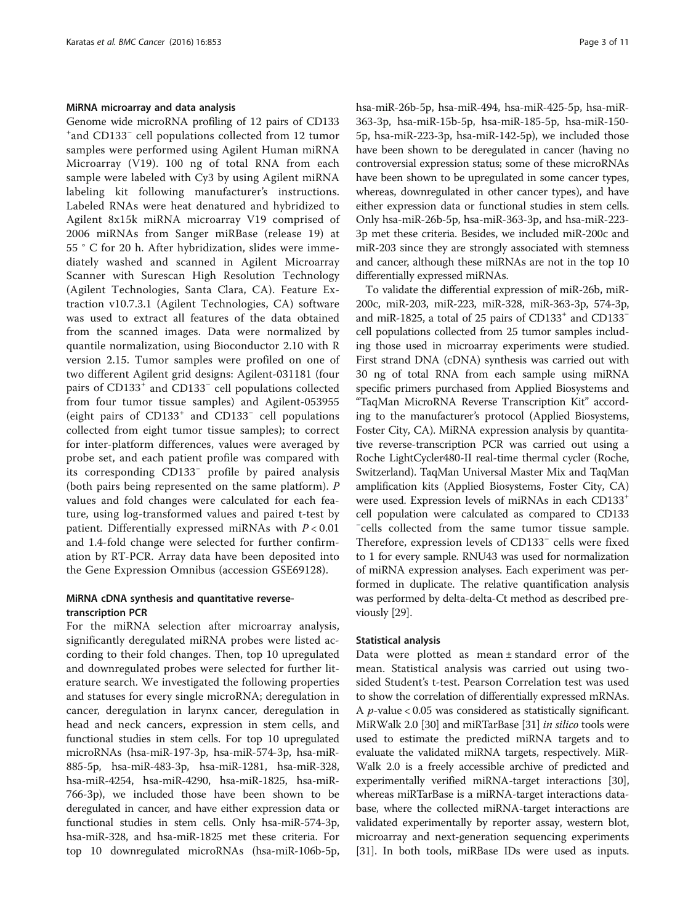#### MiRNA microarray and data analysis

Genome wide microRNA profiling of 12 pairs of CD133 + and CD133<sup>−</sup> cell populations collected from 12 tumor samples were performed using Agilent Human miRNA Microarray (V19). 100 ng of total RNA from each sample were labeled with Cy3 by using Agilent miRNA labeling kit following manufacturer's instructions. Labeled RNAs were heat denatured and hybridized to Agilent 8x15k miRNA microarray V19 comprised of 2006 miRNAs from Sanger miRBase (release 19) at 55 ° C for 20 h. After hybridization, slides were immediately washed and scanned in Agilent Microarray Scanner with Surescan High Resolution Technology (Agilent Technologies, Santa Clara, CA). Feature Extraction v10.7.3.1 (Agilent Technologies, CA) software was used to extract all features of the data obtained from the scanned images. Data were normalized by quantile normalization, using Bioconductor 2.10 with R version 2.15. Tumor samples were profiled on one of two different Agilent grid designs: Agilent-031181 (four pairs of CD133<sup>+</sup> and CD133<sup>-</sup> cell populations collected from four tumor tissue samples) and Agilent-053955 (eight pairs of CD133<sup>+</sup> and CD133<sup>−</sup> cell populations collected from eight tumor tissue samples); to correct for inter-platform differences, values were averaged by probe set, and each patient profile was compared with its corresponding CD133<sup>−</sup> profile by paired analysis (both pairs being represented on the same platform). P values and fold changes were calculated for each feature, using log-transformed values and paired t-test by patient. Differentially expressed miRNAs with  $P < 0.01$ and 1.4-fold change were selected for further confirmation by RT-PCR. Array data have been deposited into the Gene Expression Omnibus (accession GSE69128).

## MiRNA cDNA synthesis and quantitative reversetranscription PCR

For the miRNA selection after microarray analysis, significantly deregulated miRNA probes were listed according to their fold changes. Then, top 10 upregulated and downregulated probes were selected for further literature search. We investigated the following properties and statuses for every single microRNA; deregulation in cancer, deregulation in larynx cancer, deregulation in head and neck cancers, expression in stem cells, and functional studies in stem cells. For top 10 upregulated microRNAs (hsa-miR-197-3p, hsa-miR-574-3p, hsa-miR-885-5p, hsa-miR-483-3p, hsa-miR-1281, hsa-miR-328, hsa-miR-4254, hsa-miR-4290, hsa-miR-1825, hsa-miR-766-3p), we included those have been shown to be deregulated in cancer, and have either expression data or functional studies in stem cells. Only hsa-miR-574-3p, hsa-miR-328, and hsa-miR-1825 met these criteria. For top 10 downregulated microRNAs (hsa-miR-106b-5p, hsa-miR-26b-5p, hsa-miR-494, hsa-miR-425-5p, hsa-miR-363-3p, hsa-miR-15b-5p, hsa-miR-185-5p, hsa-miR-150- 5p, hsa-miR-223-3p, hsa-miR-142-5p), we included those have been shown to be deregulated in cancer (having no controversial expression status; some of these microRNAs have been shown to be upregulated in some cancer types, whereas, downregulated in other cancer types), and have either expression data or functional studies in stem cells. Only hsa-miR-26b-5p, hsa-miR-363-3p, and hsa-miR-223- 3p met these criteria. Besides, we included miR-200c and miR-203 since they are strongly associated with stemness and cancer, although these miRNAs are not in the top 10 differentially expressed miRNAs.

To validate the differential expression of miR-26b, miR-200c, miR-203, miR-223, miR-328, miR-363-3p, 574-3p, and miR-1825, a total of 25 pairs of CD133<sup>+</sup> and CD133<sup>-</sup> cell populations collected from 25 tumor samples including those used in microarray experiments were studied. First strand DNA (cDNA) synthesis was carried out with 30 ng of total RNA from each sample using miRNA specific primers purchased from Applied Biosystems and "TaqMan MicroRNA Reverse Transcription Kit" according to the manufacturer's protocol (Applied Biosystems, Foster City, CA). MiRNA expression analysis by quantitative reverse-transcription PCR was carried out using a Roche LightCycler480-II real-time thermal cycler (Roche, Switzerland). TaqMan Universal Master Mix and TaqMan amplification kits (Applied Biosystems, Foster City, CA) were used. Expression levels of miRNAs in each CD133<sup>+</sup> cell population were calculated as compared to CD133 − cells collected from the same tumor tissue sample. Therefore, expression levels of CD133<sup>−</sup> cells were fixed to 1 for every sample. RNU43 was used for normalization of miRNA expression analyses. Each experiment was performed in duplicate. The relative quantification analysis was performed by delta-delta-Ct method as described previously [\[29\]](#page-8-0).

#### Statistical analysis

Data were plotted as mean  $\pm$  standard error of the mean. Statistical analysis was carried out using twosided Student's t-test. Pearson Correlation test was used to show the correlation of differentially expressed mRNAs. A p-value < 0.05 was considered as statistically significant. MiRWalk 2.0 [\[30](#page-8-0)] and miRTarBase [[31](#page-8-0)] *in silico* tools were used to estimate the predicted miRNA targets and to evaluate the validated miRNA targets, respectively. MiR-Walk 2.0 is a freely accessible archive of predicted and experimentally verified miRNA-target interactions [[30](#page-8-0)], whereas miRTarBase is a miRNA-target interactions database, where the collected miRNA-target interactions are validated experimentally by reporter assay, western blot, microarray and next-generation sequencing experiments [[31](#page-8-0)]. In both tools, miRBase IDs were used as inputs.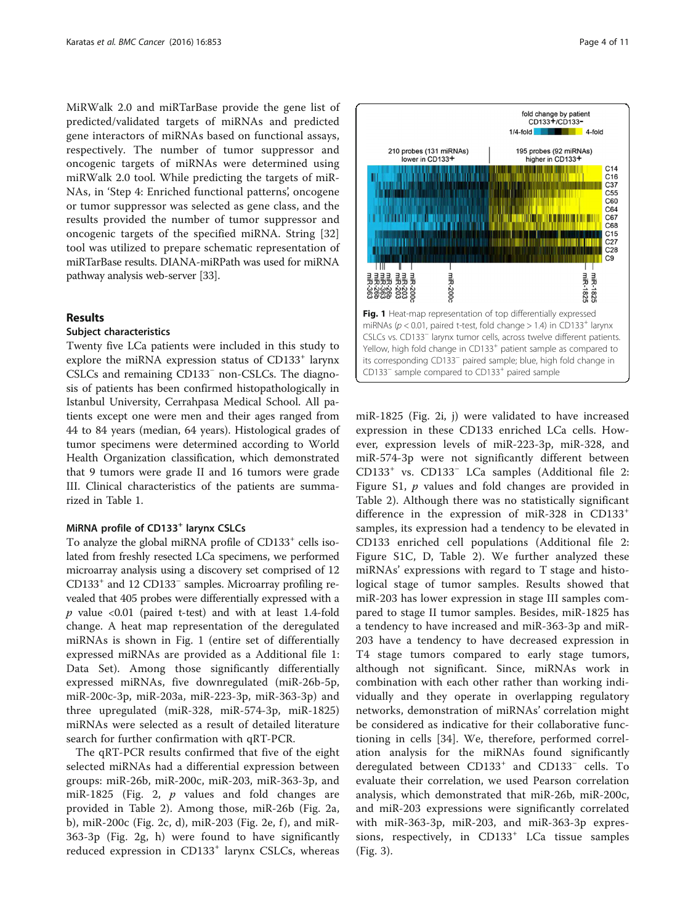MiRWalk 2.0 and miRTarBase provide the gene list of predicted/validated targets of miRNAs and predicted gene interactors of miRNAs based on functional assays, respectively. The number of tumor suppressor and oncogenic targets of miRNAs were determined using miRWalk 2.0 tool. While predicting the targets of miR-NAs, in 'Step 4: Enriched functional patterns', oncogene or tumor suppressor was selected as gene class, and the results provided the number of tumor suppressor and oncogenic targets of the specified miRNA. String [\[32](#page-8-0)] tool was utilized to prepare schematic representation of miRTarBase results. DIANA-miRPath was used for miRNA pathway analysis web-server [[33](#page-8-0)].

## Results

#### Subject characteristics

Twenty five LCa patients were included in this study to explore the miRNA expression status of CD133<sup>+</sup> larynx CSLCs and remaining CD133<sup>−</sup> non-CSLCs. The diagnosis of patients has been confirmed histopathologically in Istanbul University, Cerrahpasa Medical School. All patients except one were men and their ages ranged from 44 to 84 years (median, 64 years). Histological grades of tumor specimens were determined according to World Health Organization classification, which demonstrated that 9 tumors were grade II and 16 tumors were grade III. Clinical characteristics of the patients are summarized in Table [1.](#page-1-0)

#### MiRNA profile of CD133<sup>+</sup> larynx CSLCs

To analyze the global miRNA profile of CD133<sup>+</sup> cells isolated from freshly resected LCa specimens, we performed microarray analysis using a discovery set comprised of 12 CD133+ and 12 CD133<sup>−</sup> samples. Microarray profiling revealed that 405 probes were differentially expressed with a  $p$  value <0.01 (paired t-test) and with at least 1.4-fold change. A heat map representation of the deregulated miRNAs is shown in Fig. 1 (entire set of differentially expressed miRNAs are provided as a Additional file [1](#page-7-0): Data Set). Among those significantly differentially expressed miRNAs, five downregulated (miR-26b-5p, miR-200c-3p, miR-203a, miR-223-3p, miR-363-3p) and three upregulated (miR-328, miR-574-3p, miR-1825) miRNAs were selected as a result of detailed literature search for further confirmation with qRT-PCR.

The qRT-PCR results confirmed that five of the eight selected miRNAs had a differential expression between groups: miR-26b, miR-200c, miR-203, miR-363-3p, and miR-1825 (Fig. [2](#page-4-0), p values and fold changes are provided in Table [2](#page-5-0)). Among those, miR-26b (Fig. [2a](#page-4-0), [b\)](#page-4-0), miR-200 $c$  (Fig. [2c, d](#page-4-0)), miR-203 (Fig. [2e, f](#page-4-0)), and miR-363-3p (Fig. [2g, h](#page-4-0)) were found to have significantly reduced expression in CD133<sup>+</sup> larynx CSLCs, whereas



miR-1825 (Fig. [2i, j](#page-4-0)) were validated to have increased expression in these CD133 enriched LCa cells. However, expression levels of miR-223-3p, miR-328, and miR-574-3p were not significantly different between CD133<sup>+</sup> vs. CD133<sup>−</sup> LCa samples (Additional file [2](#page-7-0): Figure S1, *p* values and fold changes are provided in Table [2\)](#page-5-0). Although there was no statistically significant difference in the expression of miR-328 in CD133<sup>+</sup> samples, its expression had a tendency to be elevated in CD133 enriched cell populations (Additional file [2](#page-7-0): Figure S1C, D, Table [2](#page-5-0)). We further analyzed these miRNAs' expressions with regard to T stage and histological stage of tumor samples. Results showed that miR-203 has lower expression in stage III samples compared to stage II tumor samples. Besides, miR-1825 has a tendency to have increased and miR-363-3p and miR-203 have a tendency to have decreased expression in T4 stage tumors compared to early stage tumors, although not significant. Since, miRNAs work in combination with each other rather than working individually and they operate in overlapping regulatory networks, demonstration of miRNAs' correlation might be considered as indicative for their collaborative functioning in cells [[34](#page-8-0)]. We, therefore, performed correlation analysis for the miRNAs found significantly deregulated between CD133<sup>+</sup> and CD133<sup>−</sup> cells. To evaluate their correlation, we used Pearson correlation analysis, which demonstrated that miR-26b, miR-200c, and miR-203 expressions were significantly correlated with miR-363-3p, miR-203, and miR-363-3p expressions, respectively, in CD133<sup>+</sup> LCa tissue samples (Fig. [3\)](#page-5-0).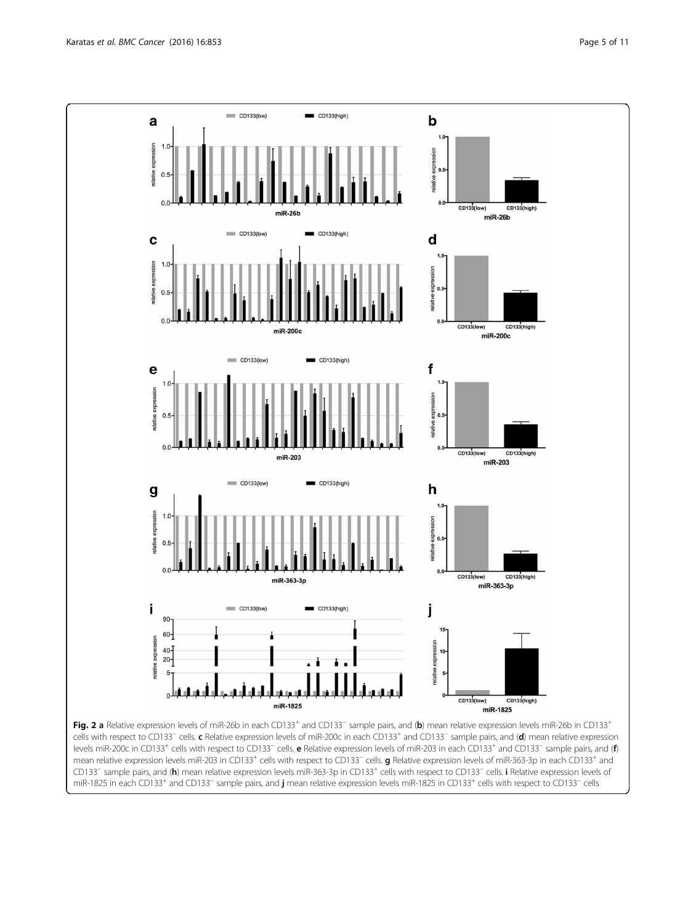<span id="page-4-0"></span>

mean relative expression levels miR-203 in CD133<sup>+</sup> cells with respect to CD133<sup>-</sup> cells. **g** Relative expression levels of miR-363-3p in each CD133<sup>+</sup> and CD133<sup>-</sup> sample pairs, and (h) mean relative expression levels miR-363-3p in CD133<sup>+</sup> cells with respect to CD133<sup>-</sup> cells. i Relative expression levels of miR-1825 in each CD133<sup>+</sup> and CD133<sup>-</sup> sample pairs, and **j** mean relative expression levels miR-1825 in CD133<sup>+</sup> cells with respect to CD133<sup>-</sup> cells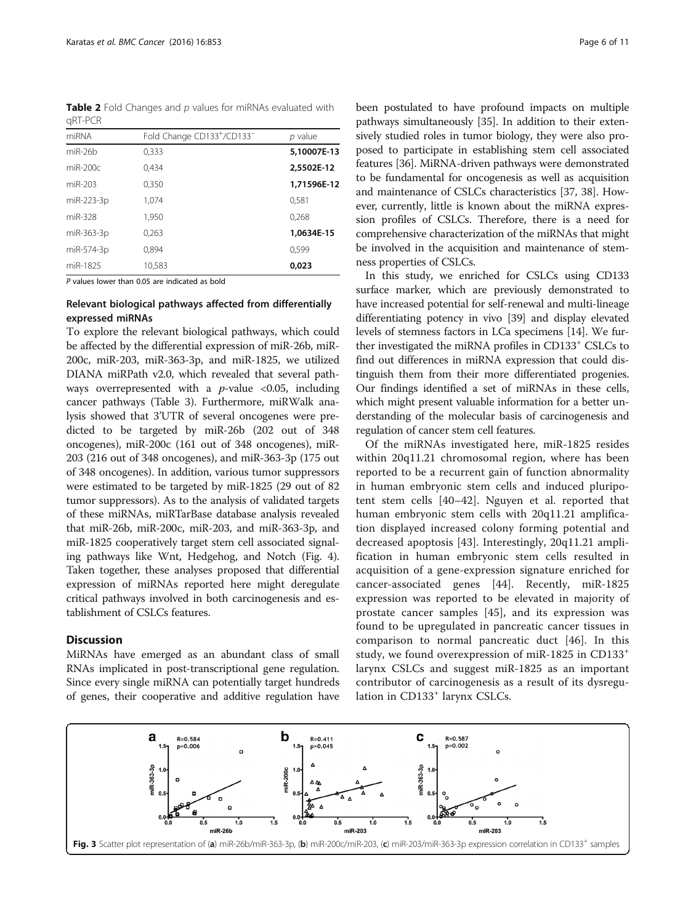<span id="page-5-0"></span>**Table 2** Fold Changes and  $p$  values for miRNAs evaluated with qRT-PCR

| miRNA      | Fold Change CD133+/CD133- | p value     |
|------------|---------------------------|-------------|
| $miR-26h$  | 0,333                     | 5,10007E-13 |
| $miR-200c$ | 0.434                     | 2,5502E-12  |
| miR-203    | 0,350                     | 1,71596E-12 |
| miR-223-3p | 1,074                     | 0.581       |
| miR-328    | 1,950                     | 0,268       |
| miR-363-3p | 0,263                     | 1,0634E-15  |
| miR-574-3p | 0.894                     | 0.599       |
| miR-1825   | 10,583                    | 0.023       |

P values lower than 0.05 are indicated as bold

# Relevant biological pathways affected from differentially expressed miRNAs

To explore the relevant biological pathways, which could be affected by the differential expression of miR-26b, miR-200c, miR-203, miR-363-3p, and miR-1825, we utilized DIANA miRPath v2.0, which revealed that several pathways overrepresented with a  $p$ -value <0.05, including cancer pathways (Table [3](#page-6-0)). Furthermore, miRWalk analysis showed that 3'UTR of several oncogenes were predicted to be targeted by miR-26b (202 out of 348 oncogenes), miR-200c (161 out of 348 oncogenes), miR-203 (216 out of 348 oncogenes), and miR-363-3p (175 out of 348 oncogenes). In addition, various tumor suppressors were estimated to be targeted by miR-1825 (29 out of 82 tumor suppressors). As to the analysis of validated targets of these miRNAs, miRTarBase database analysis revealed that miR-26b, miR-200c, miR-203, and miR-363-3p, and miR-1825 cooperatively target stem cell associated signaling pathways like Wnt, Hedgehog, and Notch (Fig. [4](#page-6-0)). Taken together, these analyses proposed that differential expression of miRNAs reported here might deregulate critical pathways involved in both carcinogenesis and establishment of CSLCs features.

## **Discussion**

MiRNAs have emerged as an abundant class of small RNAs implicated in post-transcriptional gene regulation. Since every single miRNA can potentially target hundreds of genes, their cooperative and additive regulation have

been postulated to have profound impacts on multiple pathways simultaneously [[35](#page-9-0)]. In addition to their extensively studied roles in tumor biology, they were also proposed to participate in establishing stem cell associated features [[36](#page-9-0)]. MiRNA-driven pathways were demonstrated to be fundamental for oncogenesis as well as acquisition and maintenance of CSLCs characteristics [\[37](#page-9-0), [38](#page-9-0)]. However, currently, little is known about the miRNA expression profiles of CSLCs. Therefore, there is a need for comprehensive characterization of the miRNAs that might be involved in the acquisition and maintenance of stemness properties of CSLCs.

In this study, we enriched for CSLCs using CD133 surface marker, which are previously demonstrated to have increased potential for self-renewal and multi-lineage differentiating potency in vivo [\[39](#page-9-0)] and display elevated levels of stemness factors in LCa specimens [\[14\]](#page-8-0). We further investigated the miRNA profiles in CD133<sup>+</sup> CSLCs to find out differences in miRNA expression that could distinguish them from their more differentiated progenies. Our findings identified a set of miRNAs in these cells, which might present valuable information for a better understanding of the molecular basis of carcinogenesis and regulation of cancer stem cell features.

Of the miRNAs investigated here, miR-1825 resides within 20q11.21 chromosomal region, where has been reported to be a recurrent gain of function abnormality in human embryonic stem cells and induced pluripotent stem cells [[40](#page-9-0)–[42\]](#page-9-0). Nguyen et al. reported that human embryonic stem cells with 20q11.21 amplification displayed increased colony forming potential and decreased apoptosis [[43\]](#page-9-0). Interestingly, 20q11.21 amplification in human embryonic stem cells resulted in acquisition of a gene-expression signature enriched for cancer-associated genes [\[44](#page-9-0)]. Recently, miR-1825 expression was reported to be elevated in majority of prostate cancer samples [[45\]](#page-9-0), and its expression was found to be upregulated in pancreatic cancer tissues in comparison to normal pancreatic duct [[46\]](#page-9-0). In this study, we found overexpression of miR-1825 in CD133<sup>+</sup> larynx CSLCs and suggest miR-1825 as an important contributor of carcinogenesis as a result of its dysregulation in CD133<sup>+</sup> larynx CSLCs.

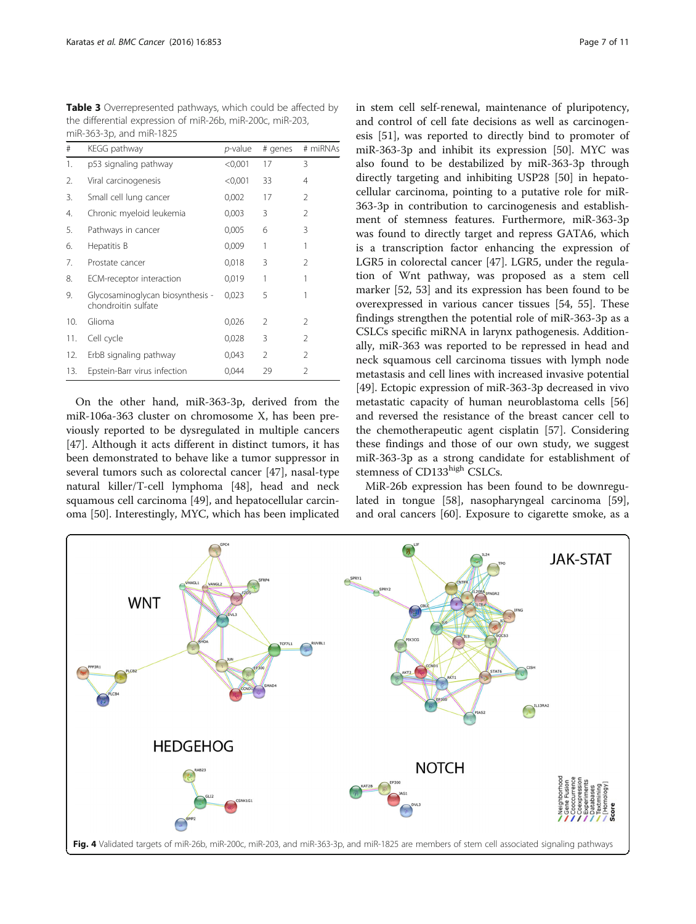<span id="page-6-0"></span>Table 3 Overrepresented pathways, which could be affected by the differential expression of miR-26b, miR-200c, miR-203, miR-363-3p, and miR-1825

| #   | KEGG pathway                                            | <i>p</i> -value | # genes        | # miRNAs       |
|-----|---------------------------------------------------------|-----------------|----------------|----------------|
| 1.  | p53 signaling pathway                                   | < 0.001         | 17             | 3              |
| 2.  | Viral carcinogenesis                                    | < 0,001         | 33             | 4              |
| 3.  | Small cell lung cancer                                  | 0,002           | 17             | 2              |
| 4.  | Chronic myeloid leukemia                                | 0,003           | 3              | $\mathfrak{D}$ |
| 5.  | Pathways in cancer                                      | 0,005           | 6              | 3              |
| 6.  | Hepatitis B                                             | 0,009           | 1              | 1              |
| 7.  | Prostate cancer                                         | 0,018           | 3              | $\mathfrak{D}$ |
| 8.  | ECM-receptor interaction                                | 0,019           | 1              | 1              |
| 9.  | Glycosaminoglycan biosynthesis -<br>chondroitin sulfate | 0,023           | 5              | 1              |
| 10. | Glioma                                                  | 0,026           | $\mathcal{P}$  | 2              |
| 11. | Cell cycle                                              | 0,028           | 3              | $\mathfrak{D}$ |
| 12. | ErbB signaling pathway                                  | 0,043           | $\mathfrak{D}$ | $\mathfrak{D}$ |
| 13. | Epstein-Barr virus infection                            | 0,044           | 29             | 2              |

On the other hand, miR-363-3p, derived from the miR-106a-363 cluster on chromosome X, has been previously reported to be dysregulated in multiple cancers [[47\]](#page-9-0). Although it acts different in distinct tumors, it has been demonstrated to behave like a tumor suppressor in several tumors such as colorectal cancer [[47](#page-9-0)], nasal-type natural killer/T-cell lymphoma [[48\]](#page-9-0), head and neck squamous cell carcinoma [[49\]](#page-9-0), and hepatocellular carcinoma [[50](#page-9-0)]. Interestingly, MYC, which has been implicated in stem cell self-renewal, maintenance of pluripotency, and control of cell fate decisions as well as carcinogenesis [[51\]](#page-9-0), was reported to directly bind to promoter of miR-363-3p and inhibit its expression [\[50](#page-9-0)]. MYC was also found to be destabilized by miR-363-3p through directly targeting and inhibiting USP28 [[50\]](#page-9-0) in hepatocellular carcinoma, pointing to a putative role for miR-363-3p in contribution to carcinogenesis and establishment of stemness features. Furthermore, miR-363-3p was found to directly target and repress GATA6, which is a transcription factor enhancing the expression of LGR5 in colorectal cancer [\[47\]](#page-9-0). LGR5, under the regulation of Wnt pathway, was proposed as a stem cell marker [[52](#page-9-0), [53\]](#page-9-0) and its expression has been found to be overexpressed in various cancer tissues [\[54](#page-9-0), [55](#page-9-0)]. These findings strengthen the potential role of miR-363-3p as a CSLCs specific miRNA in larynx pathogenesis. Additionally, miR-363 was reported to be repressed in head and neck squamous cell carcinoma tissues with lymph node metastasis and cell lines with increased invasive potential [[49\]](#page-9-0). Ectopic expression of miR-363-3p decreased in vivo metastatic capacity of human neuroblastoma cells [[56](#page-9-0)] and reversed the resistance of the breast cancer cell to the chemotherapeutic agent cisplatin [\[57](#page-9-0)]. Considering these findings and those of our own study, we suggest miR-363-3p as a strong candidate for establishment of stemness of CD133high CSLCs.

MiR-26b expression has been found to be downregulated in tongue [\[58](#page-9-0)], nasopharyngeal carcinoma [\[59](#page-9-0)], and oral cancers [[60\]](#page-9-0). Exposure to cigarette smoke, as a

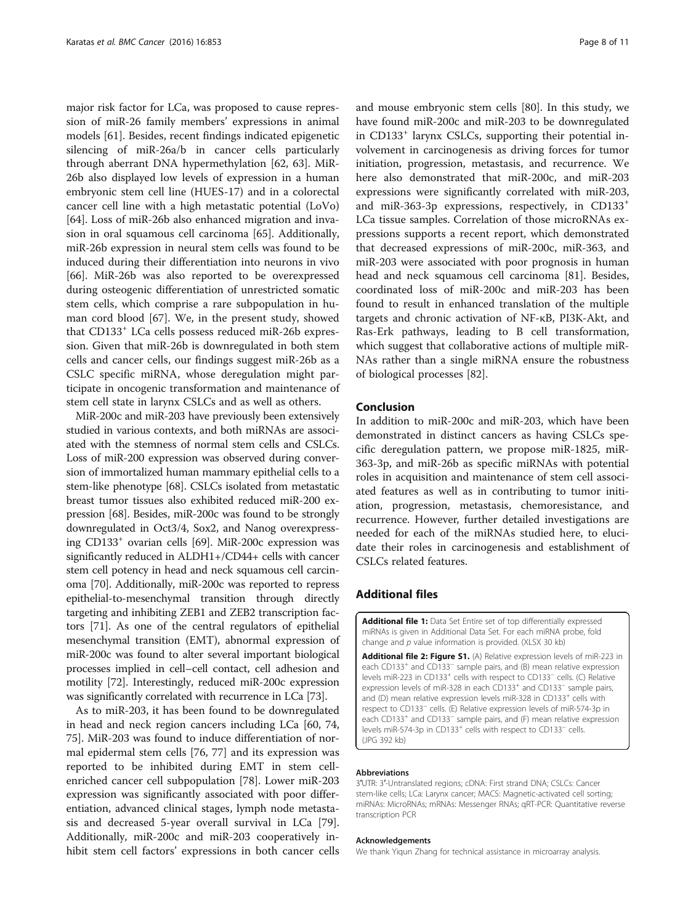<span id="page-7-0"></span>major risk factor for LCa, was proposed to cause repression of miR-26 family members' expressions in animal models [[61\]](#page-9-0). Besides, recent findings indicated epigenetic silencing of miR-26a/b in cancer cells particularly through aberrant DNA hypermethylation [[62, 63](#page-9-0)]. MiR-26b also displayed low levels of expression in a human embryonic stem cell line (HUES-17) and in a colorectal cancer cell line with a high metastatic potential (LoVo) [[64\]](#page-9-0). Loss of miR-26b also enhanced migration and invasion in oral squamous cell carcinoma [[65](#page-9-0)]. Additionally, miR-26b expression in neural stem cells was found to be induced during their differentiation into neurons in vivo [[66\]](#page-9-0). MiR-26b was also reported to be overexpressed during osteogenic differentiation of unrestricted somatic stem cells, which comprise a rare subpopulation in human cord blood [[67](#page-9-0)]. We, in the present study, showed that CD133<sup>+</sup> LCa cells possess reduced miR-26b expression. Given that miR-26b is downregulated in both stem cells and cancer cells, our findings suggest miR-26b as a CSLC specific miRNA, whose deregulation might participate in oncogenic transformation and maintenance of stem cell state in larynx CSLCs and as well as others.

MiR-200c and miR-203 have previously been extensively studied in various contexts, and both miRNAs are associated with the stemness of normal stem cells and CSLCs. Loss of miR-200 expression was observed during conversion of immortalized human mammary epithelial cells to a stem-like phenotype [[68](#page-9-0)]. CSLCs isolated from metastatic breast tumor tissues also exhibited reduced miR-200 expression [\[68\]](#page-9-0). Besides, miR-200c was found to be strongly downregulated in Oct3/4, Sox2, and Nanog overexpressing CD133+ ovarian cells [\[69\]](#page-9-0). MiR-200c expression was significantly reduced in ALDH1+/CD44+ cells with cancer stem cell potency in head and neck squamous cell carcinoma [[70](#page-9-0)]. Additionally, miR-200c was reported to repress epithelial-to-mesenchymal transition through directly targeting and inhibiting ZEB1 and ZEB2 transcription factors [\[71\]](#page-9-0). As one of the central regulators of epithelial mesenchymal transition (EMT), abnormal expression of miR-200c was found to alter several important biological processes implied in cell–cell contact, cell adhesion and motility [[72](#page-9-0)]. Interestingly, reduced miR-200c expression was significantly correlated with recurrence in LCa [\[73](#page-9-0)].

As to miR-203, it has been found to be downregulated in head and neck region cancers including LCa [[60, 74](#page-9-0), [75\]](#page-9-0). MiR-203 was found to induce differentiation of normal epidermal stem cells [\[76,](#page-9-0) [77](#page-10-0)] and its expression was reported to be inhibited during EMT in stem cellenriched cancer cell subpopulation [[78\]](#page-10-0). Lower miR-203 expression was significantly associated with poor differentiation, advanced clinical stages, lymph node metastasis and decreased 5-year overall survival in LCa [\[79](#page-10-0)]. Additionally, miR-200c and miR-203 cooperatively inhibit stem cell factors' expressions in both cancer cells

and mouse embryonic stem cells [\[80](#page-10-0)]. In this study, we have found miR-200c and miR-203 to be downregulated in CD133<sup>+</sup> larynx CSLCs, supporting their potential involvement in carcinogenesis as driving forces for tumor initiation, progression, metastasis, and recurrence. We here also demonstrated that miR-200c, and miR-203 expressions were significantly correlated with miR-203, and miR-363-3p expressions, respectively, in CD133<sup>+</sup> LCa tissue samples. Correlation of those microRNAs expressions supports a recent report, which demonstrated that decreased expressions of miR-200c, miR-363, and miR-203 were associated with poor prognosis in human head and neck squamous cell carcinoma [[81](#page-10-0)]. Besides, coordinated loss of miR-200c and miR-203 has been found to result in enhanced translation of the multiple targets and chronic activation of NF-κB, PI3K-Akt, and Ras-Erk pathways, leading to B cell transformation, which suggest that collaborative actions of multiple miR-NAs rather than a single miRNA ensure the robustness of biological processes [[82](#page-10-0)].

# Conclusion

In addition to miR-200c and miR-203, which have been demonstrated in distinct cancers as having CSLCs specific deregulation pattern, we propose miR-1825, miR-363-3p, and miR-26b as specific miRNAs with potential roles in acquisition and maintenance of stem cell associated features as well as in contributing to tumor initiation, progression, metastasis, chemoresistance, and recurrence. However, further detailed investigations are needed for each of the miRNAs studied here, to elucidate their roles in carcinogenesis and establishment of CSLCs related features.

## Additional files

[Additional file 1:](dx.doi.org/10.1186/s12885-016-2863-3) Data Set Entire set of top differentially expressed miRNAs is given in Additional Data Set. For each miRNA probe, fold change and  $p$  value information is provided. (XLSX 30 kb)

[Additional file 2: Figure S1.](dx.doi.org/10.1186/s12885-016-2863-3) (A) Relative expression levels of miR-223 in each CD133<sup>+</sup> and CD133<sup>-</sup> sample pairs, and (B) mean relative expression levels miR-223 in CD133<sup>+</sup> cells with respect to CD133<sup>-</sup> cells. (C) Relative expression levels of miR-328 in each CD133<sup>+</sup> and CD133<sup>-</sup> sample pairs, and (D) mean relative expression levels miR-328 in CD133<sup>+</sup> cells with respect to CD133<sup>−</sup> cells. (E) Relative expression levels of miR-574-3p in each CD133<sup>+</sup> and CD133<sup>-</sup> sample pairs, and (F) mean relative expression levels miR-574-3p in CD133<sup>+</sup> cells with respect to CD133<sup>−</sup> cells. (JPG 392 kb)

#### Abbreviations

3′UTR: 3′-Untranslated regions; cDNA: First strand DNA; CSLCs: Cancer stem-like cells; LCa: Larynx cancer; MACS: Magnetic-activated cell sorting; miRNAs: MicroRNAs; mRNAs: Messenger RNAs; qRT-PCR: Quantitative reverse transcription PCR

#### Acknowledgements

We thank Yiqun Zhang for technical assistance in microarray analysis.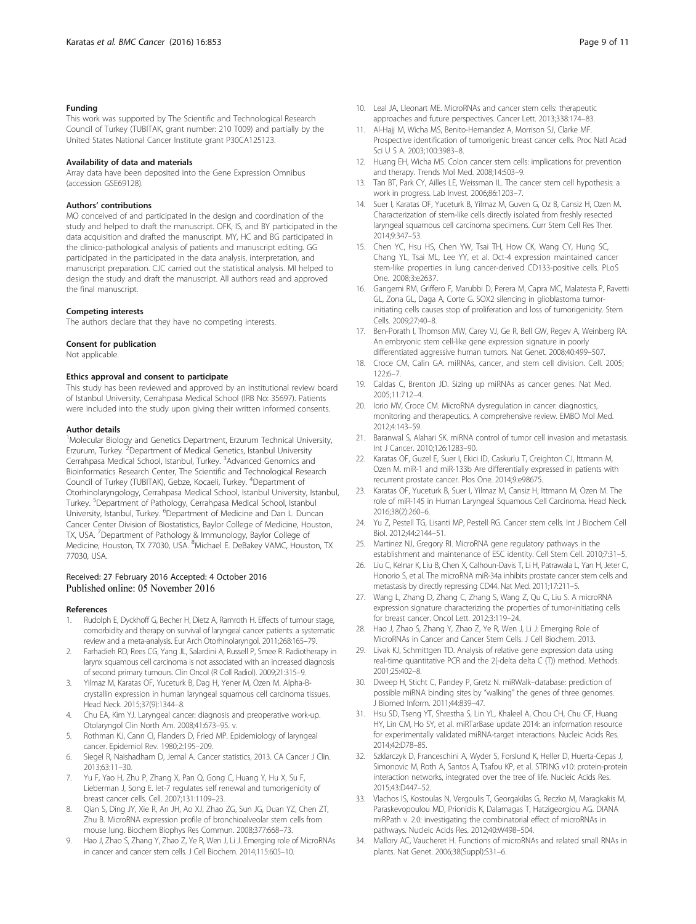#### <span id="page-8-0"></span>Funding

This work was supported by The Scientific and Technological Research Council of Turkey (TUBITAK, grant number: 210 T009) and partially by the United States National Cancer Institute grant P30CA125123.

#### Availability of data and materials

Array data have been deposited into the Gene Expression Omnibus (accession GSE69128).

#### Authors' contributions

MO conceived of and participated in the design and coordination of the study and helped to draft the manuscript. OFK, IS, and BY participated in the data acquisition and drafted the manuscript. MY, HC and BG participated in the clinico-pathological analysis of patients and manuscript editing. GG participated in the participated in the data analysis, interpretation, and manuscript preparation. CJC carried out the statistical analysis. MI helped to design the study and draft the manuscript. All authors read and approved the final manuscript.

#### Competing interests

The authors declare that they have no competing interests.

#### Consent for publication

Not applicable.

#### Ethics approval and consent to participate

This study has been reviewed and approved by an institutional review board of Istanbul University, Cerrahpasa Medical School (IRB No: 35697). Patients were included into the study upon giving their written informed consents.

#### Author details

<sup>1</sup>Molecular Biology and Genetics Department, Erzurum Technical University, Erzurum, Turkey. <sup>2</sup>Department of Medical Genetics, Istanbul University Cerrahpasa Medical School, Istanbul, Turkey. <sup>3</sup>Advanced Genomics and Bioinformatics Research Center, The Scientific and Technological Research Council of Turkey (TUBITAK), Gebze, Kocaeli, Turkey. <sup>4</sup> Department of Otorhinolaryngology, Cerrahpasa Medical School, Istanbul University, Istanbul, Turkey. <sup>5</sup>Department of Pathology, Cerrahpasa Medical School, Istanbul University, Istanbul, Turkey. <sup>6</sup>Department of Medicine and Dan L. Duncan Cancer Center Division of Biostatistics, Baylor College of Medicine, Houston, TX, USA. <sup>7</sup>Department of Pathology & Immunology, Baylor College of Medicine, Houston, TX 77030, USA. <sup>8</sup>Michael E. DeBakey VAMC, Houston, TX 77030, USA.

# Received: 27 February 2016 Accepted: 4 October 2016 Published online: 05 November 2016

#### References

- 1. Rudolph E, Dyckhoff G, Becher H, Dietz A, Ramroth H. Effects of tumour stage, comorbidity and therapy on survival of laryngeal cancer patients: a systematic review and a meta-analysis. Eur Arch Otorhinolaryngol. 2011;268:165–79.
- 2. Farhadieh RD, Rees CG, Yang JL, Salardini A, Russell P, Smee R. Radiotherapy in larynx squamous cell carcinoma is not associated with an increased diagnosis of second primary tumours. Clin Oncol (R Coll Radiol). 2009;21:315–9.
- 3. Yilmaz M, Karatas OF, Yuceturk B, Dag H, Yener M, Ozen M. Alpha-Bcrystallin expression in human laryngeal squamous cell carcinoma tissues. Head Neck. 2015;37(9):1344–8.
- 4. Chu EA, Kim YJ. Laryngeal cancer: diagnosis and preoperative work-up. Otolaryngol Clin North Am. 2008;41:673–95. v.
- 5. Rothman KJ, Cann CI, Flanders D, Fried MP. Epidemiology of laryngeal cancer. Epidemiol Rev. 1980;2:195–209.
- 6. Siegel R, Naishadham D, Jemal A. Cancer statistics, 2013. CA Cancer J Clin. 2013;63:11–30.
- 7. Yu F, Yao H, Zhu P, Zhang X, Pan Q, Gong C, Huang Y, Hu X, Su F, Lieberman J, Song E. let-7 regulates self renewal and tumorigenicity of breast cancer cells. Cell. 2007;131:1109–23.
- Qian S, Ding JY, Xie R, An JH, Ao XJ, Zhao ZG, Sun JG, Duan YZ, Chen ZT, Zhu B. MicroRNA expression profile of bronchioalveolar stem cells from mouse lung. Biochem Biophys Res Commun. 2008;377:668–73.
- Hao J, Zhao S, Zhang Y, Zhao Z, Ye R, Wen J, Li J. Emerging role of MicroRNAs in cancer and cancer stem cells. J Cell Biochem. 2014;115:605–10.
- 10. Leal JA, Lleonart ME. MicroRNAs and cancer stem cells: therapeutic approaches and future perspectives. Cancer Lett. 2013;338:174–83.
- 11. Al-Hajj M, Wicha MS, Benito-Hernandez A, Morrison SJ, Clarke MF. Prospective identification of tumorigenic breast cancer cells. Proc Natl Acad Sci U S A. 2003;100:3983–8.
- 12. Huang EH, Wicha MS. Colon cancer stem cells: implications for prevention and therapy. Trends Mol Med. 2008;14:503–9.
- 13. Tan BT, Park CY, Ailles LE, Weissman IL. The cancer stem cell hypothesis: a work in progress. Lab Invest. 2006;86:1203–7.
- 14. Suer I, Karatas OF, Yuceturk B, Yilmaz M, Guven G, Oz B, Cansiz H, Ozen M. Characterization of stem-like cells directly isolated from freshly resected laryngeal squamous cell carcinoma specimens. Curr Stem Cell Res Ther. 2014;9:347–53.
- 15. Chen YC, Hsu HS, Chen YW, Tsai TH, How CK, Wang CY, Hung SC, Chang YL, Tsai ML, Lee YY, et al. Oct-4 expression maintained cancer stem-like properties in lung cancer-derived CD133-positive cells. PLoS One. 2008;3:e2637.
- 16. Gangemi RM, Griffero F, Marubbi D, Perera M, Capra MC, Malatesta P, Ravetti GL, Zona GL, Daga A, Corte G. SOX2 silencing in glioblastoma tumorinitiating cells causes stop of proliferation and loss of tumorigenicity. Stem Cells. 2009;27:40–8.
- 17. Ben-Porath I, Thomson MW, Carey VJ, Ge R, Bell GW, Regev A, Weinberg RA. An embryonic stem cell-like gene expression signature in poorly differentiated aggressive human tumors. Nat Genet. 2008;40:499–507.
- 18. Croce CM, Calin GA. miRNAs, cancer, and stem cell division. Cell. 2005; 122:6–7.
- 19. Caldas C, Brenton JD. Sizing up miRNAs as cancer genes. Nat Med. 2005;11:712–4.
- 20. Iorio MV, Croce CM. MicroRNA dysregulation in cancer: diagnostics, monitoring and therapeutics. A comprehensive review. EMBO Mol Med. 2012;4:143–59.
- 21. Baranwal S, Alahari SK. miRNA control of tumor cell invasion and metastasis. Int J Cancer. 2010;126:1283–90.
- 22. Karatas OF, Guzel E, Suer I, Ekici ID, Caskurlu T, Creighton CJ, Ittmann M, Ozen M. miR-1 and miR-133b Are differentially expressed in patients with recurrent prostate cancer. Plos One. 2014;9:e98675.
- 23. Karatas OF, Yuceturk B, Suer I, Yilmaz M, Cansiz H, Ittmann M, Ozen M. The role of miR-145 in Human Laryngeal Squamous Cell Carcinoma. Head Neck. 2016;38(2):260–6.
- 24. Yu Z, Pestell TG, Lisanti MP, Pestell RG. Cancer stem cells. Int J Biochem Cell Biol. 2012;44:2144–51.
- 25. Martinez NJ, Gregory RI. MicroRNA gene regulatory pathways in the establishment and maintenance of ESC identity. Cell Stem Cell. 2010;7:31–5.
- 26. Liu C, Kelnar K, Liu B, Chen X, Calhoun-Davis T, Li H, Patrawala L, Yan H, Jeter C, Honorio S, et al. The microRNA miR-34a inhibits prostate cancer stem cells and metastasis by directly repressing CD44. Nat Med. 2011;17:211–5.
- 27. Wang L, Zhang D, Zhang C, Zhang S, Wang Z, Qu C, Liu S. A microRNA expression signature characterizing the properties of tumor-initiating cells for breast cancer. Oncol Lett. 2012;3:119–24.
- 28. Hao J, Zhao S, Zhang Y, Zhao Z, Ye R, Wen J, Li J: Emerging Role of MicroRNAs in Cancer and Cancer Stem Cells. J Cell Biochem. 2013.
- 29. Livak KJ, Schmittgen TD. Analysis of relative gene expression data using real-time quantitative PCR and the 2(-delta delta C (T)) method. Methods. 2001;25:402–8.
- 30. Dweep H, Sticht C, Pandey P, Gretz N. miRWalk–database: prediction of possible miRNA binding sites by "walking" the genes of three genomes. J Biomed Inform. 2011;44:839–47.
- 31. Hsu SD, Tseng YT, Shrestha S, Lin YL, Khaleel A, Chou CH, Chu CF, Huang HY, Lin CM, Ho SY, et al. miRTarBase update 2014: an information resource for experimentally validated miRNA-target interactions. Nucleic Acids Res. 2014;42:D78–85.
- 32. Szklarczyk D, Franceschini A, Wyder S, Forslund K, Heller D, Huerta-Cepas J, Simonovic M, Roth A, Santos A, Tsafou KP, et al. STRING v10: protein-protein interaction networks, integrated over the tree of life. Nucleic Acids Res. 2015;43:D447–52.
- 33. Vlachos IS, Kostoulas N, Vergoulis T, Georgakilas G, Reczko M, Maragkakis M, Paraskevopoulou MD, Prionidis K, Dalamagas T, Hatzigeorgiou AG. DIANA miRPath v. 2.0: investigating the combinatorial effect of microRNAs in pathways. Nucleic Acids Res. 2012;40:W498–504.
- 34. Mallory AC, Vaucheret H. Functions of microRNAs and related small RNAs in plants. Nat Genet. 2006;38(Suppl):S31–6.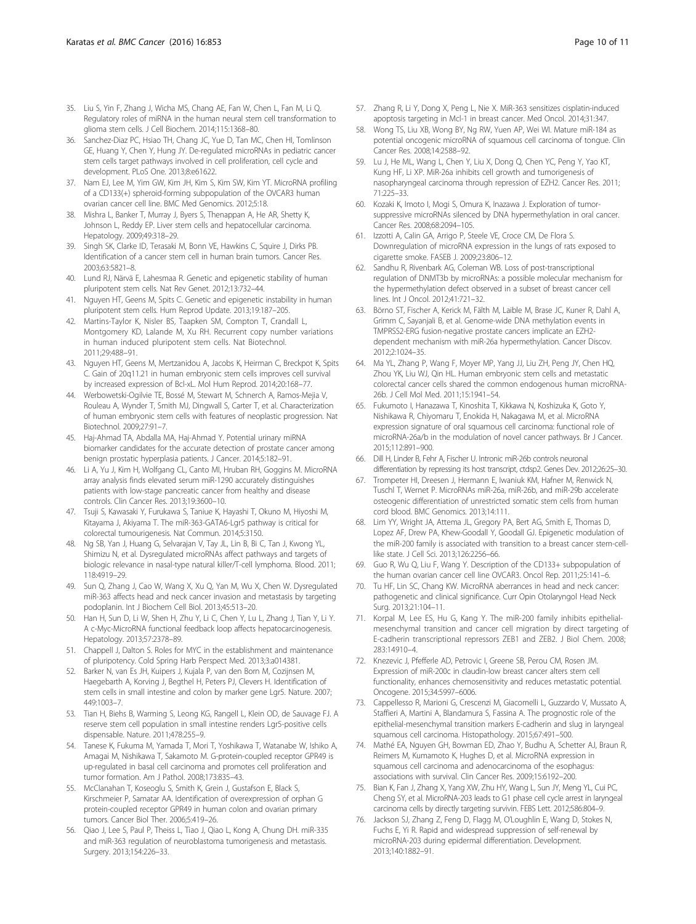- <span id="page-9-0"></span>35. Liu S, Yin F, Zhang J, Wicha MS, Chang AE, Fan W, Chen L, Fan M, Li Q. Regulatory roles of miRNA in the human neural stem cell transformation to glioma stem cells. J Cell Biochem. 2014;115:1368–80.
- 36. Sanchez-Diaz PC, Hsiao TH, Chang JC, Yue D, Tan MC, Chen HI, Tomlinson GE, Huang Y, Chen Y, Hung JY. De-regulated microRNAs in pediatric cancer stem cells target pathways involved in cell proliferation, cell cycle and development. PLoS One. 2013;8:e61622.
- 37. Nam EJ, Lee M, Yim GW, Kim JH, Kim S, Kim SW, Kim YT. MicroRNA profiling of a CD133(+) spheroid-forming subpopulation of the OVCAR3 human ovarian cancer cell line. BMC Med Genomics. 2012;5:18.
- 38. Mishra L, Banker T, Murray J, Byers S, Thenappan A, He AR, Shetty K, Johnson L, Reddy EP. Liver stem cells and hepatocellular carcinoma. Hepatology. 2009;49:318–29.
- 39. Singh SK, Clarke ID, Terasaki M, Bonn VE, Hawkins C, Squire J, Dirks PB. Identification of a cancer stem cell in human brain tumors. Cancer Res. 2003;63:5821–8.
- 40. Lund RJ, Närvä E, Lahesmaa R. Genetic and epigenetic stability of human pluripotent stem cells. Nat Rev Genet. 2012;13:732–44.
- 41. Nguyen HT, Geens M, Spits C. Genetic and epigenetic instability in human pluripotent stem cells. Hum Reprod Update. 2013;19:187–205.
- 42. Martins-Taylor K, Nisler BS, Taapken SM, Compton T, Crandall L, Montgomery KD, Lalande M, Xu RH. Recurrent copy number variations in human induced pluripotent stem cells. Nat Biotechnol. 2011;29:488–91.
- 43. Nguyen HT, Geens M, Mertzanidou A, Jacobs K, Heirman C, Breckpot K, Spits C. Gain of 20q11.21 in human embryonic stem cells improves cell survival by increased expression of Bcl-xL. Mol Hum Reprod. 2014;20:168–77.
- 44. Werbowetski-Ogilvie TE, Bossé M, Stewart M, Schnerch A, Ramos-Mejia V, Rouleau A, Wynder T, Smith MJ, Dingwall S, Carter T, et al. Characterization of human embryonic stem cells with features of neoplastic progression. Nat Biotechnol. 2009;27:91–7.
- 45. Haj-Ahmad TA, Abdalla MA, Haj-Ahmad Y. Potential urinary miRNA biomarker candidates for the accurate detection of prostate cancer among benign prostatic hyperplasia patients. J Cancer. 2014;5:182–91.
- 46. Li A, Yu J, Kim H, Wolfgang CL, Canto MI, Hruban RH, Goggins M. MicroRNA array analysis finds elevated serum miR-1290 accurately distinguishes patients with low-stage pancreatic cancer from healthy and disease controls. Clin Cancer Res. 2013;19:3600–10.
- 47. Tsuji S, Kawasaki Y, Furukawa S, Taniue K, Hayashi T, Okuno M, Hiyoshi M, Kitayama J, Akiyama T. The miR-363-GATA6-Lgr5 pathway is critical for colorectal tumourigenesis. Nat Commun. 2014;5:3150.
- 48. Ng SB, Yan J, Huang G, Selvarajan V, Tay JL, Lin B, Bi C, Tan J, Kwong YL, Shimizu N, et al. Dysregulated microRNAs affect pathways and targets of biologic relevance in nasal-type natural killer/T-cell lymphoma. Blood. 2011; 118:4919–29.
- 49. Sun Q, Zhang J, Cao W, Wang X, Xu Q, Yan M, Wu X, Chen W. Dysregulated miR-363 affects head and neck cancer invasion and metastasis by targeting podoplanin. Int J Biochem Cell Biol. 2013;45:513–20.
- 50. Han H, Sun D, Li W, Shen H, Zhu Y, Li C, Chen Y, Lu L, Zhang J, Tian Y, Li Y. A c-Myc-MicroRNA functional feedback loop affects hepatocarcinogenesis. Hepatology. 2013;57:2378–89.
- 51. Chappell J, Dalton S. Roles for MYC in the establishment and maintenance of pluripotency. Cold Spring Harb Perspect Med. 2013;3:a014381.
- Barker N, van Es JH, Kuipers J, Kujala P, van den Born M, Cozijnsen M, Haegebarth A, Korving J, Begthel H, Peters PJ, Clevers H. Identification of stem cells in small intestine and colon by marker gene Lgr5. Nature. 2007; 449:1003–7.
- 53. Tian H, Biehs B, Warming S, Leong KG, Rangell L, Klein OD, de Sauvage FJ. A reserve stem cell population in small intestine renders Lgr5-positive cells dispensable. Nature. 2011;478:255–9.
- 54. Tanese K, Fukuma M, Yamada T, Mori T, Yoshikawa T, Watanabe W, Ishiko A, Amagai M, Nishikawa T, Sakamoto M. G-protein-coupled receptor GPR49 is up-regulated in basal cell carcinoma and promotes cell proliferation and tumor formation. Am J Pathol. 2008;173:835–43.
- 55. McClanahan T, Koseoglu S, Smith K, Grein J, Gustafson E, Black S, Kirschmeier P, Samatar AA. Identification of overexpression of orphan G protein-coupled receptor GPR49 in human colon and ovarian primary tumors. Cancer Biol Ther. 2006;5:419–26.
- 56. Qiao J, Lee S, Paul P, Theiss L, Tiao J, Qiao L, Kong A, Chung DH. miR-335 and miR-363 regulation of neuroblastoma tumorigenesis and metastasis. Surgery. 2013;154:226–33.
- 57. Zhang R, Li Y, Dong X, Peng L, Nie X. MiR-363 sensitizes cisplatin-induced apoptosis targeting in Mcl-1 in breast cancer. Med Oncol. 2014;31:347.
- 58. Wong TS, Liu XB, Wong BY, Ng RW, Yuen AP, Wei WI. Mature miR-184 as potential oncogenic microRNA of squamous cell carcinoma of tongue. Clin Cancer Res. 2008;14:2588–92.
- 59. Lu J, He ML, Wang L, Chen Y, Liu X, Dong Q, Chen YC, Peng Y, Yao KT, Kung HF, Li XP. MiR-26a inhibits cell growth and tumorigenesis of nasopharyngeal carcinoma through repression of EZH2. Cancer Res. 2011; 71:225–33.
- 60. Kozaki K, Imoto I, Mogi S, Omura K, Inazawa J. Exploration of tumorsuppressive microRNAs silenced by DNA hypermethylation in oral cancer. Cancer Res. 2008;68:2094–105.
- 61. Izzotti A, Calin GA, Arrigo P, Steele VE, Croce CM, De Flora S. Downregulation of microRNA expression in the lungs of rats exposed to cigarette smoke. FASEB J. 2009;23:806–12.
- 62. Sandhu R, Rivenbark AG, Coleman WB. Loss of post-transcriptional regulation of DNMT3b by microRNAs: a possible molecular mechanism for the hypermethylation defect observed in a subset of breast cancer cell lines. Int J Oncol. 2012;41:721–32.
- 63. Börno ST, Fischer A, Kerick M, Fälth M, Laible M, Brase JC, Kuner R, Dahl A, Grimm C, Sayanjali B, et al. Genome-wide DNA methylation events in TMPRSS2-ERG fusion-negative prostate cancers implicate an EZH2 dependent mechanism with miR-26a hypermethylation. Cancer Discov. 2012;2:1024–35.
- 64. Ma YL, Zhang P, Wang F, Moyer MP, Yang JJ, Liu ZH, Peng JY, Chen HQ, Zhou YK, Liu WJ, Qin HL. Human embryonic stem cells and metastatic colorectal cancer cells shared the common endogenous human microRNA-26b. J Cell Mol Med. 2011;15:1941–54.
- 65. Fukumoto I, Hanazawa T, Kinoshita T, Kikkawa N, Koshizuka K, Goto Y, Nishikawa R, Chiyomaru T, Enokida H, Nakagawa M, et al. MicroRNA expression signature of oral squamous cell carcinoma: functional role of microRNA-26a/b in the modulation of novel cancer pathways. Br J Cancer. 2015;112:891–900.
- 66. Dill H, Linder B, Fehr A, Fischer U. Intronic miR-26b controls neuronal differentiation by repressing its host transcript, ctdsp2. Genes Dev. 2012;26:25–30.
- 67. Trompeter HI, Dreesen J, Hermann E, Iwaniuk KM, Hafner M, Renwick N, Tuschl T, Wernet P. MicroRNAs miR-26a, miR-26b, and miR-29b accelerate osteogenic differentiation of unrestricted somatic stem cells from human cord blood. BMC Genomics. 2013;14:111.
- 68. Lim YY, Wright JA, Attema JL, Gregory PA, Bert AG, Smith E, Thomas D, Lopez AF, Drew PA, Khew-Goodall Y, Goodall GJ. Epigenetic modulation of the miR-200 family is associated with transition to a breast cancer stem-celllike state. J Cell Sci. 2013;126:2256–66.
- 69. Guo R, Wu Q, Liu F, Wang Y. Description of the CD133+ subpopulation of the human ovarian cancer cell line OVCAR3. Oncol Rep. 2011;25:141–6.
- 70. Tu HF, Lin SC, Chang KW. MicroRNA aberrances in head and neck cancer: pathogenetic and clinical significance. Curr Opin Otolaryngol Head Neck Surg. 2013;21:104–11.
- 71. Korpal M, Lee ES, Hu G, Kang Y. The miR-200 family inhibits epithelialmesenchymal transition and cancer cell migration by direct targeting of E-cadherin transcriptional repressors ZEB1 and ZEB2. J Biol Chem. 2008; 283:14910–4.
- 72. Knezevic J, Pfefferle AD, Petrovic I, Greene SB, Perou CM, Rosen JM. Expression of miR-200c in claudin-low breast cancer alters stem cell functionality, enhances chemosensitivity and reduces metastatic potential. Oncogene. 2015;34:5997–6006.
- 73. Cappellesso R, Marioni G, Crescenzi M, Giacomelli L, Guzzardo V, Mussato A, Staffieri A, Martini A, Blandamura S, Fassina A. The prognostic role of the epithelial-mesenchymal transition markers E-cadherin and slug in laryngeal squamous cell carcinoma. Histopathology. 2015;67:491–500.
- 74. Mathé EA, Nguyen GH, Bowman ED, Zhao Y, Budhu A, Schetter AJ, Braun R, Reimers M, Kumamoto K, Hughes D, et al. MicroRNA expression in squamous cell carcinoma and adenocarcinoma of the esophagus: associations with survival. Clin Cancer Res. 2009;15:6192–200.
- 75. Bian K, Fan J, Zhang X, Yang XW, Zhu HY, Wang L, Sun JY, Meng YL, Cui PC, Cheng SY, et al. MicroRNA-203 leads to G1 phase cell cycle arrest in laryngeal carcinoma cells by directly targeting survivin. FEBS Lett. 2012;586:804–9.
- 76. Jackson SJ, Zhang Z, Feng D, Flagg M, O'Loughlin E, Wang D, Stokes N, Fuchs E, Yi R. Rapid and widespread suppression of self-renewal by microRNA-203 during epidermal differentiation. Development. 2013;140:1882–91.